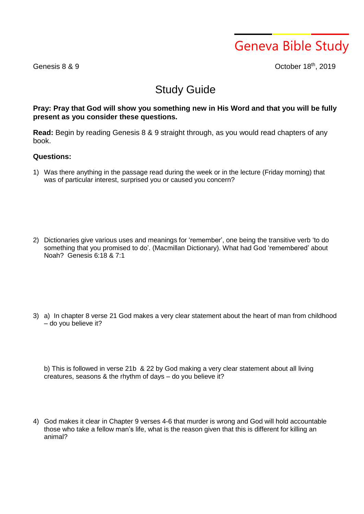Geneva Bible Study

Genesis 8 & 9

<sup>th</sup>, 2019

## Study Guide

## **Pray: Pray that God will show you something new in His Word and that you will be fully present as you consider these questions.**

**Read:** Begin by reading Genesis 8 & 9 straight through, as you would read chapters of any book.

## **Questions:**

1) Was there anything in the passage read during the week or in the lecture (Friday morning) that was of particular interest, surprised you or caused you concern?

2) Dictionaries give various uses and meanings for 'remember', one being the transitive verb 'to do something that you promised to do'. (Macmillan Dictionary). What had God 'remembered' about Noah? Genesis 6:18 & 7:1

3) a) In chapter 8 verse 21 God makes a very clear statement about the heart of man from childhood – do you believe it?

b) This is followed in verse 21b & 22 by God making a very clear statement about all living creatures, seasons & the rhythm of days – do you believe it?

4) God makes it clear in Chapter 9 verses 4-6 that murder is wrong and God will hold accountable those who take a fellow man's life, what is the reason given that this is different for killing an animal?